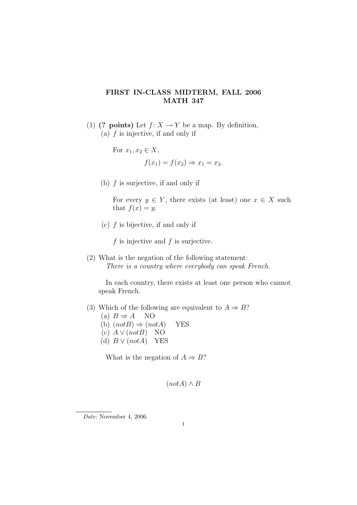## FIRST IN-CLASS MIDTERM, FALL 2006 MATH 347

(1) (? points) Let  $f: X \to Y$  be a map. By definition, (a)  $f$  is injective, if and only if

For 
$$
x_1, x_2 \in X
$$
,  
\n $f(x_1) = f(x_2) \Rightarrow x_1 = x_2$ .

(b) f is surjective, if and only if

For every  $y \in Y$ , there exists (at least) one  $x \in X$  such that  $f(x) = y$ .

(c)  $f$  is bijective, if and only if

f is injective and  $f$  is surjective.

(2) What is the negation of the following statement: There is a country where everybody can speak French.

In each country, there exists at least one person who cannot speak French.

- (3) Which of the following are equivalent to  $A \Rightarrow B$ ?
	- (a)  $B \Rightarrow A$  NO
	- (b)  $(notB) \Rightarrow (notA)$  YES
	- (c)  $A \vee (notB)$  NO
	- (d)  $B \vee (notA)$  YES

What is the negation of  $A \Rightarrow B$ ?

$$
(not A) \wedge B
$$

Date: November 4, 2006.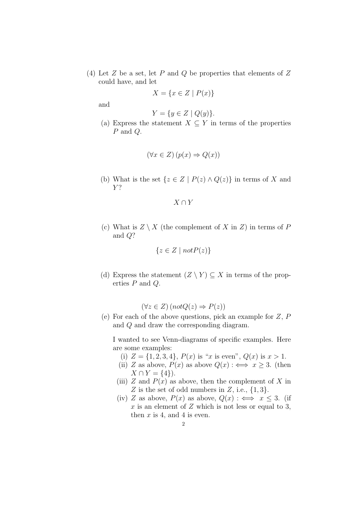(4) Let  $Z$  be a set, let  $P$  and  $Q$  be properties that elements of  $Z$ could have, and let

$$
X = \{ x \in Z \mid P(x) \}
$$

and

$$
Y = \{ y \in Z \mid Q(y) \}.
$$

(a) Express the statement  $X \subseteq Y$  in terms of the properties P and Q.

$$
(\forall x \in Z) \left( p(x) \Rightarrow Q(x) \right)
$$

(b) What is the set  $\{z \in Z \mid P(z) \wedge Q(z)\}\$ in terms of X and  $Y$ ?

 $X \cap Y$ 

(c) What is  $Z \setminus X$  (the complement of X in Z) in terms of P and Q?

$$
\{z \in Z \mid notP(z)\}\
$$

(d) Express the statement  $(Z \setminus Y) \subseteq X$  in terms of the properties P and Q.

$$
(\forall z \in Z) (notQ(z) \Rightarrow P(z))
$$

(e) For each of the above questions, pick an example for Z, P and Q and draw the corresponding diagram.

I wanted to see Venn-diagrams of specific examples. Here are some examples:

- (i)  $Z = \{1, 2, 3, 4\}, P(x)$  is "x is even",  $Q(x)$  is  $x > 1$ .
- (ii) Z as above,  $P(x)$  as above  $Q(x)$  :  $\iff x \geq 3$ . (then  $X \cap Y = \{4\}$ .
- (iii) Z and  $P(x)$  as above, then the complement of X in Z is the set of odd numbers in  $Z$ , i.e.,  $\{1,3\}$ .
- (iv) Z as above,  $P(x)$  as above,  $Q(x)$ :  $\iff x \leq 3$ . (if  $x$  is an element of  $Z$  which is not less or equal to 3, then  $x$  is 4, and 4 is even.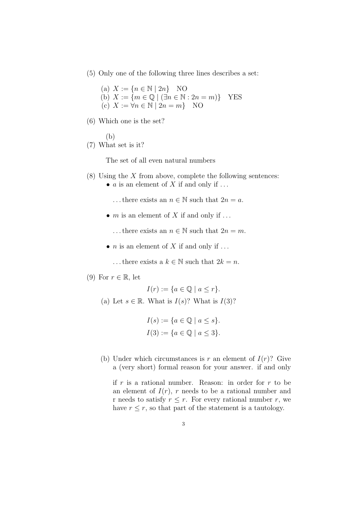(5) Only one of the following three lines describes a set:

(a)  $X := \{ n \in \mathbb{N} \mid 2n \}$  NO (b)  $X := \{m \in \mathbb{Q} \mid (\exists n \in \mathbb{N} : 2n = m)\}$  YES (c)  $X := \forall n \in \mathbb{N} \mid 2n = m$  NO

- (6) Which one is the set?
- (b) (7) What set is it?

The set of all even natural numbers

- $(8)$  Using the X from above, complete the following sentences:
	- $\alpha$  is an element of  $X$  if and only if ...
		- ... there exists an  $n \in \mathbb{N}$  such that  $2n = a$ .
	- $m$  is an element of  $X$  if and only if ...
		- ... there exists an  $n \in \mathbb{N}$  such that  $2n = m$ .
	- *n* is an element of  $X$  if and only if ...
		- ... there exists a  $k \in \mathbb{N}$  such that  $2k = n$ .
- (9) For  $r \in \mathbb{R}$ , let

$$
I(r) := \{ a \in \mathbb{Q} \mid a \le r \}.
$$

(a) Let  $s \in \mathbb{R}$ . What is  $I(s)$ ? What is  $I(3)$ ?

$$
I(s) := \{ a \in \mathbb{Q} \mid a \le s \}.
$$
  

$$
I(3) := \{ a \in \mathbb{Q} \mid a \le 3 \}.
$$

(b) Under which circumstances is r an element of  $I(r)$ ? Give a (very short) formal reason for your answer. if and only

if  $r$  is a rational number. Reason: in order for  $r$  to be an element of  $I(r)$ , r needs to be a rational number and r needs to satisfy  $r \leq r$ . For every rational number r, we have  $r \leq r$ , so that part of the statement is a tautology.